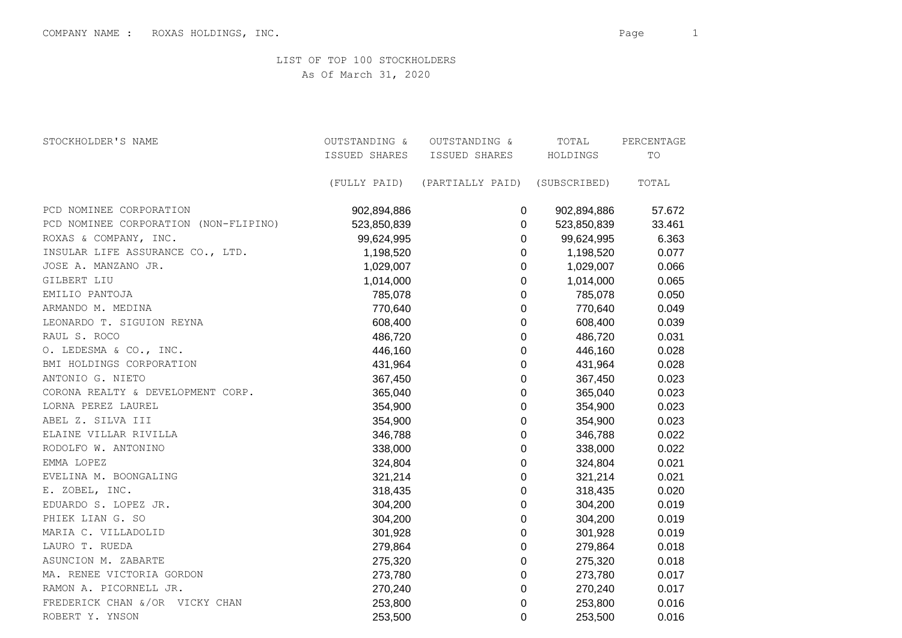LIST OF TOP 100 STOCKHOLDERS

As Of March 31, 2020

| STOCKHOLDER'S NAME                    | OUTSTANDING & | OUTSTANDING &                 | TOTAL       | PERCENTAGE |  |
|---------------------------------------|---------------|-------------------------------|-------------|------------|--|
|                                       | ISSUED SHARES | ISSUED SHARES                 | HOLDINGS    | TO         |  |
|                                       | (FULLY PAID)  | (PARTIALLY PAID) (SUBSCRIBED) |             | TOTAL      |  |
| PCD NOMINEE CORPORATION               | 902,894,886   | 0                             | 902,894,886 | 57.672     |  |
| PCD NOMINEE CORPORATION (NON-FLIPINO) | 523,850,839   | 0                             | 523,850,839 | 33.461     |  |
| ROXAS & COMPANY, INC.                 | 99,624,995    | $\pmb{0}$                     | 99,624,995  | 6.363      |  |
| INSULAR LIFE ASSURANCE CO., LTD.      | 1,198,520     | 0                             | 1,198,520   | 0.077      |  |
| JOSE A. MANZANO JR.                   | 1,029,007     | 0                             | 1,029,007   | 0.066      |  |
| GILBERT LIU                           | 1,014,000     | 0                             | 1,014,000   | 0.065      |  |
| EMILIO PANTOJA                        | 785,078       | 0                             | 785,078     | 0.050      |  |
| ARMANDO M. MEDINA                     | 770,640       | 0                             | 770,640     | 0.049      |  |
| LEONARDO T. SIGUION REYNA             | 608,400       | 0                             | 608,400     | 0.039      |  |
| RAUL S. ROCO                          | 486,720       | $\mathbf 0$                   | 486,720     | 0.031      |  |
| O. LEDESMA & CO., INC.                | 446,160       | $\mathbf 0$                   | 446,160     | 0.028      |  |
| BMI HOLDINGS CORPORATION              | 431,964       | $\mathbf 0$                   | 431,964     | 0.028      |  |
| ANTONIO G. NIETO                      | 367,450       | 0                             | 367,450     | 0.023      |  |
| CORONA REALTY & DEVELOPMENT CORP.     | 365,040       | $\mathbf 0$                   | 365,040     | 0.023      |  |
| LORNA PEREZ LAUREL                    | 354,900       | 0                             | 354,900     | 0.023      |  |
| ABEL Z. SILVA III                     | 354,900       | $\pmb{0}$                     | 354,900     | 0.023      |  |
| ELAINE VILLAR RIVILLA                 | 346,788       | $\boldsymbol{0}$              | 346,788     | 0.022      |  |
| RODOLFO W. ANTONINO                   | 338,000       | 0                             | 338,000     | 0.022      |  |
| EMMA LOPEZ                            | 324,804       | $\mathbf 0$                   | 324,804     | 0.021      |  |
| EVELINA M. BOONGALING                 | 321,214       | 0                             | 321,214     | 0.021      |  |
| E. ZOBEL, INC.                        | 318,435       | 0                             | 318,435     | 0.020      |  |
| EDUARDO S. LOPEZ JR.                  | 304,200       | 0                             | 304,200     | 0.019      |  |
| PHIEK LIAN G. SO                      | 304,200       | $\pmb{0}$                     | 304,200     | 0.019      |  |
| MARIA C. VILLADOLID                   | 301,928       | $\boldsymbol{0}$              | 301,928     | 0.019      |  |
| LAURO T. RUEDA                        | 279,864       | $\pmb{0}$                     | 279,864     | 0.018      |  |
| ASUNCION M. ZABARTE                   | 275,320       | 0                             | 275,320     | 0.018      |  |
| MA. RENEE VICTORIA GORDON             | 273,780       | 0                             | 273,780     | 0.017      |  |
| RAMON A. PICORNELL JR.                | 270,240       | $\Omega$                      | 270,240     | 0.017      |  |
| FREDERICK CHAN &/OR VICKY CHAN        | 253,800       | 0                             | 253,800     | 0.016      |  |
| ROBERT Y. YNSON                       | 253,500       | $\Omega$                      | 253,500     | 0.016      |  |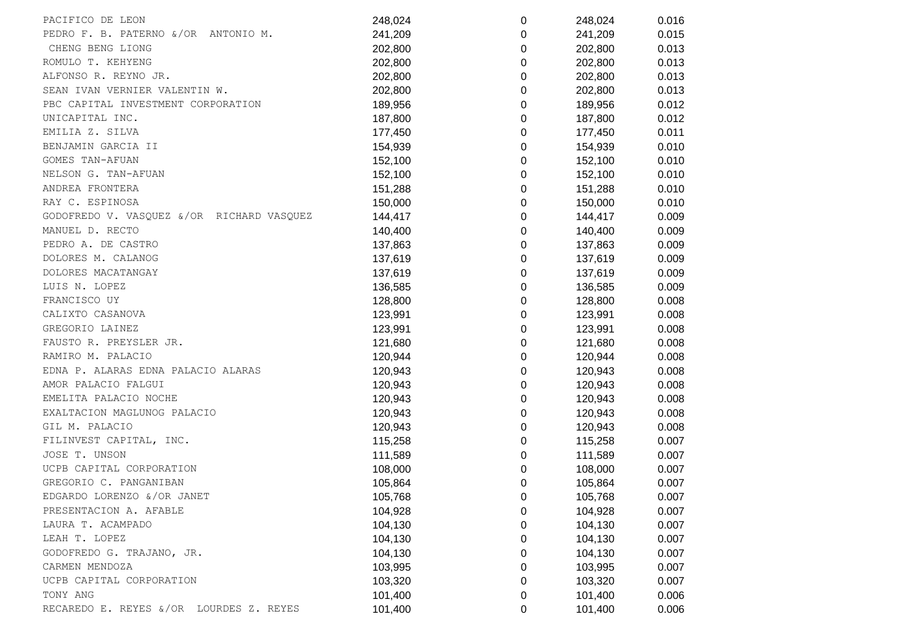| PACIFICO DE LEON                          | 248,024 | 0              | 248,024 | 0.016 |
|-------------------------------------------|---------|----------------|---------|-------|
| PEDRO F. B. PATERNO &/OR ANTONIO M.       | 241,209 | 0              | 241,209 | 0.015 |
| CHENG BENG LIONG                          | 202,800 | 0              | 202,800 | 0.013 |
| ROMULO T. KEHYENG                         | 202,800 | 0              | 202,800 | 0.013 |
| ALFONSO R. REYNO JR.                      | 202,800 | 0              | 202,800 | 0.013 |
| SEAN IVAN VERNIER VALENTIN W.             | 202,800 | 0              | 202,800 | 0.013 |
| PBC CAPITAL INVESTMENT CORPORATION        | 189,956 | $\mathbf 0$    | 189,956 | 0.012 |
| UNICAPITAL INC.                           | 187,800 | 0              | 187,800 | 0.012 |
| EMILIA Z. SILVA                           | 177,450 | 0              | 177,450 | 0.011 |
| BENJAMIN GARCIA II                        | 154,939 | 0              | 154,939 | 0.010 |
| GOMES TAN-AFUAN                           | 152,100 | $\mathbf 0$    | 152,100 | 0.010 |
| NELSON G. TAN-AFUAN                       | 152,100 | $\mathbf 0$    | 152,100 | 0.010 |
| ANDREA FRONTERA                           | 151,288 | $\mathbf 0$    | 151,288 | 0.010 |
| RAY C. ESPINOSA                           | 150,000 | 0              | 150,000 | 0.010 |
| GODOFREDO V. VASQUEZ &/OR RICHARD VASQUEZ | 144,417 | 0              | 144,417 | 0.009 |
| MANUEL D. RECTO                           | 140,400 | 0              | 140,400 | 0.009 |
| PEDRO A. DE CASTRO                        | 137,863 | $\mathbf 0$    | 137,863 | 0.009 |
| DOLORES M. CALANOG                        | 137,619 | $\mathbf 0$    | 137,619 | 0.009 |
| DOLORES MACATANGAY                        | 137,619 | $\overline{0}$ | 137,619 | 0.009 |
| LUIS N. LOPEZ                             | 136,585 | 0              | 136,585 | 0.009 |
| FRANCISCO UY                              | 128,800 | 0              | 128,800 | 0.008 |
| CALIXTO CASANOVA                          | 123,991 | $\mathbf 0$    | 123,991 | 0.008 |
| GREGORIO LAINEZ                           | 123,991 | $\mathbf 0$    | 123,991 | 0.008 |
| FAUSTO R. PREYSLER JR.                    | 121,680 | $\mathbf 0$    | 121,680 | 0.008 |
| RAMIRO M. PALACIO                         | 120,944 | 0              | 120,944 | 0.008 |
| EDNA P. ALARAS EDNA PALACIO ALARAS        | 120,943 | 0              | 120,943 | 0.008 |
| AMOR PALACIO FALGUI                       | 120,943 | 0              | 120,943 | 0.008 |
| EMELITA PALACIO NOCHE                     | 120,943 | $\mathbf 0$    | 120,943 | 0.008 |
| EXALTACION MAGLUNOG PALACIO               | 120,943 | $\Omega$       | 120,943 | 0.008 |
| GIL M. PALACIO                            | 120,943 | $\mathbf 0$    | 120,943 | 0.008 |
| FILINVEST CAPITAL, INC.                   | 115,258 | 0              | 115,258 | 0.007 |
| JOSE T. UNSON                             | 111,589 | 0              | 111,589 | 0.007 |
| UCPB CAPITAL CORPORATION                  | 108,000 | 0              | 108,000 | 0.007 |
| GREGORIO C. PANGANIBAN                    | 105,864 | $\Omega$       | 105,864 | 0.007 |
| EDGARDO LORENZO &/OR JANET                | 105,768 | 0              | 105,768 | 0.007 |
| PRESENTACION A. AFABLE                    | 104,928 | 0              | 104,928 | 0.007 |
| LAURA T. ACAMPADO                         | 104,130 | 0              | 104,130 | 0.007 |
| LEAH T. LOPEZ                             | 104,130 | 0              | 104,130 | 0.007 |
| GODOFREDO G. TRAJANO, JR.                 | 104,130 | 0              | 104,130 | 0.007 |
| CARMEN MENDOZA                            | 103,995 | 0              | 103,995 | 0.007 |
| UCPB CAPITAL CORPORATION                  | 103,320 | 0              | 103,320 | 0.007 |
| TONY ANG                                  | 101,400 | 0              | 101,400 | 0.006 |
| RECAREDO E. REYES &/OR LOURDES Z. REYES   | 101,400 | 0              | 101,400 | 0.006 |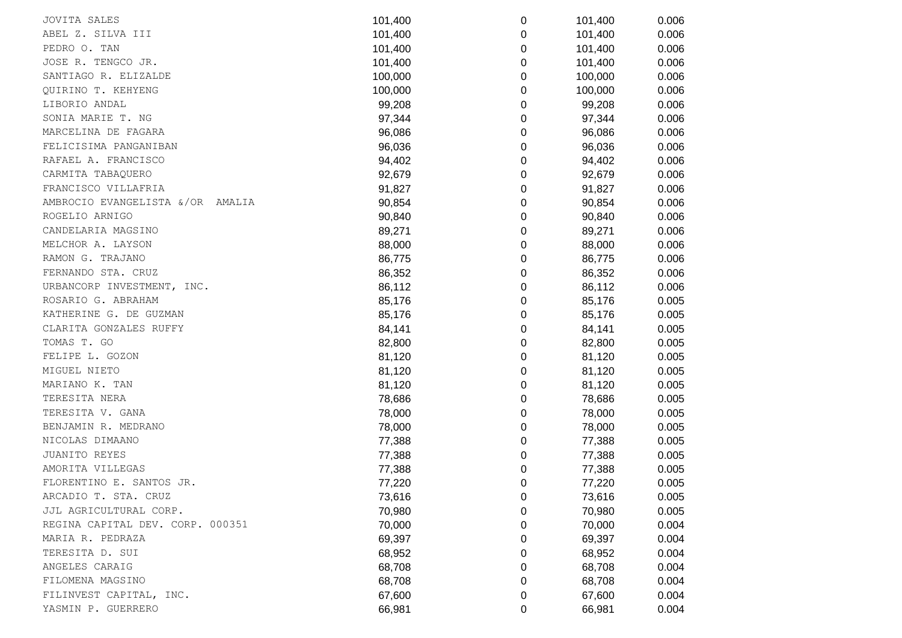| <b>JOVITA SALES</b>              | 101,400 | 0           | 101,400 | 0.006 |  |
|----------------------------------|---------|-------------|---------|-------|--|
| ABEL Z. SILVA III                | 101,400 | 0           | 101,400 | 0.006 |  |
| PEDRO O. TAN                     | 101,400 | 0           | 101,400 | 0.006 |  |
| JOSE R. TENGCO JR.               | 101,400 | 0           | 101,400 | 0.006 |  |
| SANTIAGO R. ELIZALDE             | 100,000 | 0           | 100,000 | 0.006 |  |
| QUIRINO T. KEHYENG               | 100,000 | 0           | 100,000 | 0.006 |  |
| LIBORIO ANDAL                    | 99,208  | 0           | 99,208  | 0.006 |  |
| SONIA MARIE T. NG                | 97,344  | 0           | 97,344  | 0.006 |  |
| MARCELINA DE FAGARA              | 96,086  | 0           | 96,086  | 0.006 |  |
| FELICISIMA PANGANIBAN            | 96,036  | 0           | 96,036  | 0.006 |  |
| RAFAEL A. FRANCISCO              | 94,402  | 0           | 94,402  | 0.006 |  |
| CARMITA TABAQUERO                | 92,679  | 0           | 92,679  | 0.006 |  |
| FRANCISCO VILLAFRIA              | 91,827  | 0           | 91,827  | 0.006 |  |
| AMBROCIO EVANGELISTA &/OR AMALIA | 90,854  | 0           | 90,854  | 0.006 |  |
| ROGELIO ARNIGO                   | 90,840  | 0           | 90,840  | 0.006 |  |
| CANDELARIA MAGSINO               | 89,271  | 0           | 89,271  | 0.006 |  |
| MELCHOR A. LAYSON                | 88,000  | 0           | 88,000  | 0.006 |  |
| RAMON G. TRAJANO                 | 86,775  | 0           | 86,775  | 0.006 |  |
| FERNANDO STA. CRUZ               | 86,352  | 0           | 86,352  | 0.006 |  |
| URBANCORP INVESTMENT, INC.       | 86,112  | 0           | 86,112  | 0.006 |  |
| ROSARIO G. ABRAHAM               | 85,176  | 0           | 85,176  | 0.005 |  |
| KATHERINE G. DE GUZMAN           | 85,176  | 0           | 85,176  | 0.005 |  |
| CLARITA GONZALES RUFFY           | 84,141  | 0           | 84,141  | 0.005 |  |
| TOMAS T. GO                      | 82,800  | 0           | 82,800  | 0.005 |  |
| FELIPE L. GOZON                  | 81,120  | 0           | 81,120  | 0.005 |  |
| MIGUEL NIETO                     | 81,120  | 0           | 81,120  | 0.005 |  |
| MARIANO K. TAN                   | 81,120  | 0           | 81,120  | 0.005 |  |
| TERESITA NERA                    | 78,686  | 0           | 78,686  | 0.005 |  |
| TERESITA V. GANA                 | 78,000  | $\mathbf 0$ | 78,000  | 0.005 |  |
| BENJAMIN R. MEDRANO              | 78,000  | 0           | 78,000  | 0.005 |  |
| NICOLAS DIMAANO                  | 77,388  | 0           | 77,388  | 0.005 |  |
| JUANITO REYES                    | 77,388  | 0           | 77,388  | 0.005 |  |
| AMORITA VILLEGAS                 | 77,388  | 0           | 77,388  | 0.005 |  |
| FLORENTINO E. SANTOS JR.         | 77,220  | 0           | 77,220  | 0.005 |  |
| ARCADIO T. STA. CRUZ             | 73,616  | 0           | 73,616  | 0.005 |  |
| JJL AGRICULTURAL CORP.           | 70,980  | 0           | 70,980  | 0.005 |  |
| REGINA CAPITAL DEV. CORP. 000351 | 70,000  | 0           | 70,000  | 0.004 |  |
| MARIA R. PEDRAZA                 | 69,397  | 0           | 69,397  | 0.004 |  |
| TERESITA D. SUI                  | 68,952  | 0           | 68,952  | 0.004 |  |
| ANGELES CARAIG                   | 68,708  | 0           | 68,708  | 0.004 |  |
| FILOMENA MAGSINO                 | 68,708  | 0           | 68,708  | 0.004 |  |
| FILINVEST CAPITAL, INC.          | 67,600  | 0           | 67,600  | 0.004 |  |
| YASMIN P. GUERRERO               | 66,981  | 0           | 66,981  | 0.004 |  |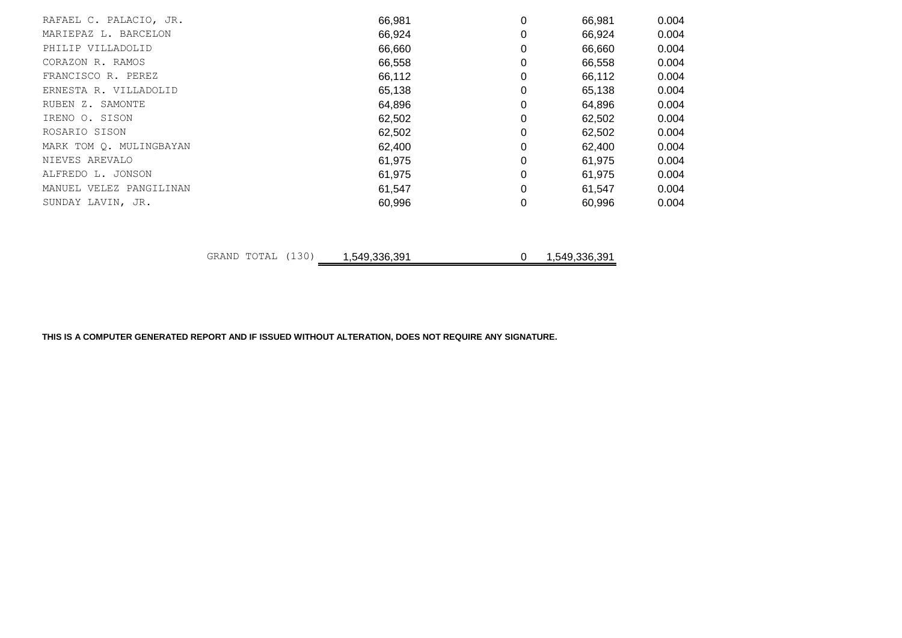| RAFAEL C. PALACIO, JR.  |                   | 66,981        | 0 | 66,981        | 0.004 |
|-------------------------|-------------------|---------------|---|---------------|-------|
| MARIEPAZ L. BARCELON    |                   | 66,924        |   | 66,924        | 0.004 |
| PHILIP VILLADOLID       |                   | 66,660        | 0 | 66,660        | 0.004 |
| CORAZON R. RAMOS        |                   | 66,558        | 0 | 66,558        | 0.004 |
| FRANCISCO R. PEREZ      |                   | 66,112        | 0 | 66,112        | 0.004 |
| ERNESTA R. VILLADOLID   |                   | 65,138        | 0 | 65,138        | 0.004 |
| RUBEN Z. SAMONTE        |                   | 64,896        | 0 | 64,896        | 0.004 |
| IRENO O. SISON          |                   | 62,502        | 0 | 62,502        | 0.004 |
| ROSARIO SISON           |                   | 62,502        | 0 | 62,502        | 0.004 |
| MARK TOM Q. MULINGBAYAN |                   | 62,400        | 0 | 62,400        | 0.004 |
| NIEVES AREVALO          |                   | 61,975        |   | 61,975        | 0.004 |
| ALFREDO L. JONSON       |                   | 61,975        |   | 61,975        | 0.004 |
| MANUEL VELEZ PANGILINAN |                   | 61,547        | 0 | 61,547        | 0.004 |
| SUNDAY LAVIN, JR.       |                   | 60,996        | 0 | 60,996        | 0.004 |
|                         |                   |               |   |               |       |
|                         | GRAND TOTAL (130) | 1,549,336,391 | 0 | 1,549,336,391 |       |

**THIS IS A COMPUTER GENERATED REPORT AND IF ISSUED WITHOUT ALTERATION, DOES NOT REQUIRE ANY SIGNATURE.**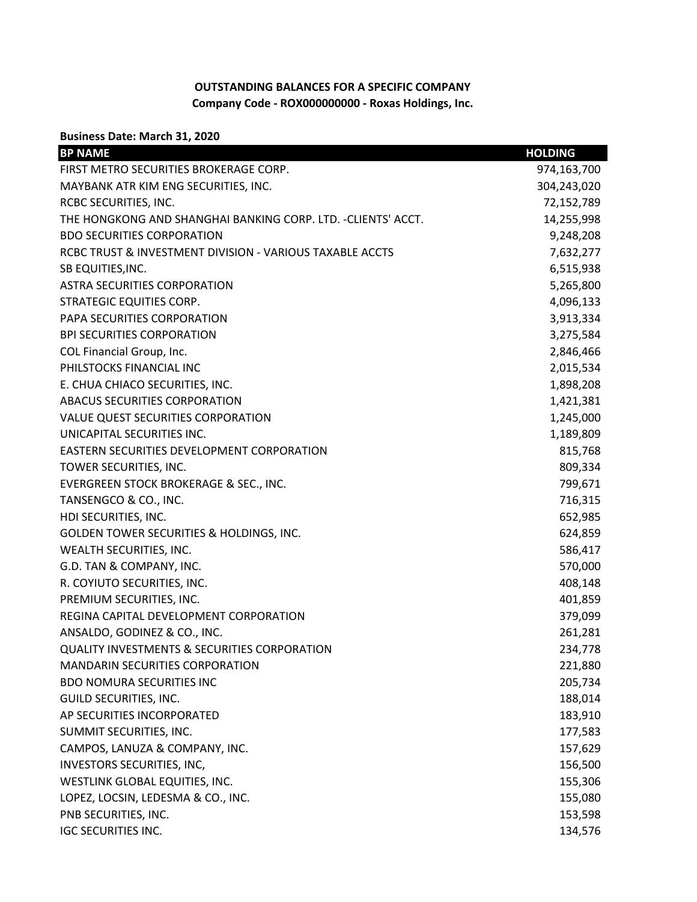## **OUTSTANDING BALANCES FOR A SPECIFIC COMPANY Company Code - ROX000000000 - Roxas Holdings, Inc.**

**Business Date: March 31, 2020**

| <b>BP NAME</b>                                                | <b>HOLDING</b> |
|---------------------------------------------------------------|----------------|
| FIRST METRO SECURITIES BROKERAGE CORP.                        | 974,163,700    |
| MAYBANK ATR KIM ENG SECURITIES, INC.                          | 304,243,020    |
| RCBC SECURITIES, INC.                                         | 72,152,789     |
| THE HONGKONG AND SHANGHAI BANKING CORP. LTD. - CLIENTS' ACCT. | 14,255,998     |
| <b>BDO SECURITIES CORPORATION</b>                             | 9,248,208      |
| RCBC TRUST & INVESTMENT DIVISION - VARIOUS TAXABLE ACCTS      | 7,632,277      |
| SB EQUITIES, INC.                                             | 6,515,938      |
| <b>ASTRA SECURITIES CORPORATION</b>                           | 5,265,800      |
| <b>STRATEGIC EQUITIES CORP.</b>                               | 4,096,133      |
| PAPA SECURITIES CORPORATION                                   | 3,913,334      |
| <b>BPI SECURITIES CORPORATION</b>                             | 3,275,584      |
| COL Financial Group, Inc.                                     | 2,846,466      |
| PHILSTOCKS FINANCIAL INC                                      | 2,015,534      |
| E. CHUA CHIACO SECURITIES, INC.                               | 1,898,208      |
| ABACUS SECURITIES CORPORATION                                 | 1,421,381      |
| VALUE QUEST SECURITIES CORPORATION                            | 1,245,000      |
| UNICAPITAL SECURITIES INC.                                    | 1,189,809      |
| EASTERN SECURITIES DEVELOPMENT CORPORATION                    | 815,768        |
| TOWER SECURITIES, INC.                                        | 809,334        |
| EVERGREEN STOCK BROKERAGE & SEC., INC.                        | 799,671        |
| TANSENGCO & CO., INC.                                         | 716,315        |
| HDI SECURITIES, INC.                                          | 652,985        |
| GOLDEN TOWER SECURITIES & HOLDINGS, INC.                      | 624,859        |
| WEALTH SECURITIES, INC.                                       | 586,417        |
| G.D. TAN & COMPANY, INC.                                      | 570,000        |
| R. COYIUTO SECURITIES, INC.                                   | 408,148        |
| PREMIUM SECURITIES, INC.                                      | 401,859        |
| REGINA CAPITAL DEVELOPMENT CORPORATION                        | 379,099        |
| ANSALDO, GODINEZ & CO., INC.                                  | 261,281        |
| <b>QUALITY INVESTMENTS &amp; SECURITIES CORPORATION</b>       | 234,778        |
| <b>MANDARIN SECURITIES CORPORATION</b>                        | 221,880        |
| <b>BDO NOMURA SECURITIES INC</b>                              | 205,734        |
| GUILD SECURITIES, INC.                                        | 188,014        |
| AP SECURITIES INCORPORATED                                    | 183,910        |
| SUMMIT SECURITIES, INC.                                       | 177,583        |
| CAMPOS, LANUZA & COMPANY, INC.                                | 157,629        |
| INVESTORS SECURITIES, INC,                                    | 156,500        |
| WESTLINK GLOBAL EQUITIES, INC.                                | 155,306        |
| LOPEZ, LOCSIN, LEDESMA & CO., INC.                            | 155,080        |
| PNB SECURITIES, INC.                                          | 153,598        |
| <b>IGC SECURITIES INC.</b>                                    | 134,576        |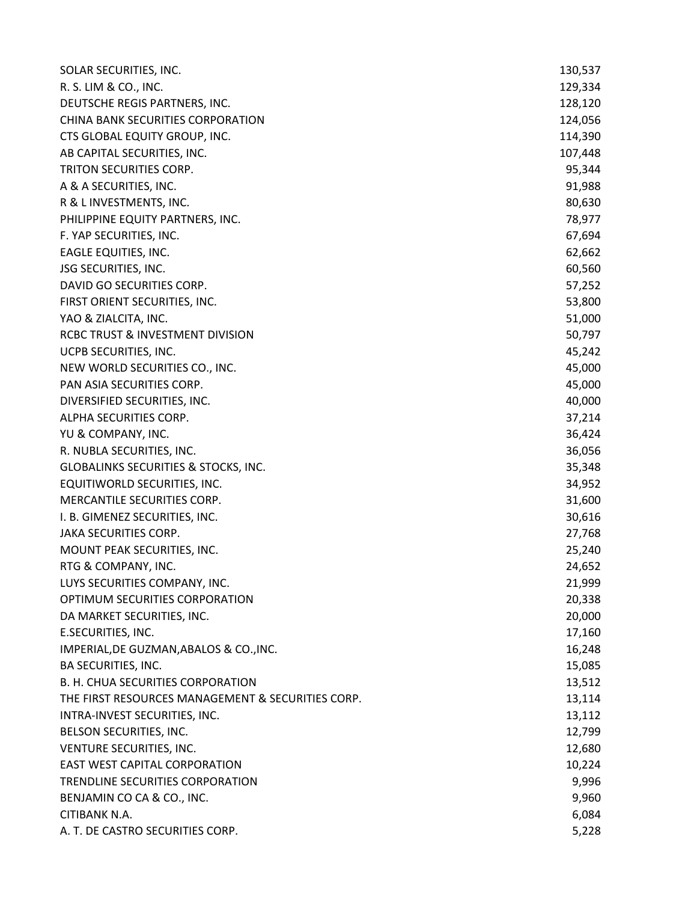| SOLAR SECURITIES, INC.                            | 130,537 |
|---------------------------------------------------|---------|
| R. S. LIM & CO., INC.                             | 129,334 |
| DEUTSCHE REGIS PARTNERS, INC.                     | 128,120 |
| CHINA BANK SECURITIES CORPORATION                 | 124,056 |
| CTS GLOBAL EQUITY GROUP, INC.                     | 114,390 |
| AB CAPITAL SECURITIES, INC.                       | 107,448 |
| TRITON SECURITIES CORP.                           | 95,344  |
| A & A SECURITIES, INC.                            | 91,988  |
| R & L INVESTMENTS, INC.                           | 80,630  |
| PHILIPPINE EQUITY PARTNERS, INC.                  | 78,977  |
| F. YAP SECURITIES, INC.                           | 67,694  |
| EAGLE EQUITIES, INC.                              | 62,662  |
| JSG SECURITIES, INC.                              | 60,560  |
| DAVID GO SECURITIES CORP.                         | 57,252  |
| FIRST ORIENT SECURITIES, INC.                     | 53,800  |
| YAO & ZIALCITA, INC.                              | 51,000  |
| RCBC TRUST & INVESTMENT DIVISION                  | 50,797  |
| UCPB SECURITIES, INC.                             | 45,242  |
| NEW WORLD SECURITIES CO., INC.                    | 45,000  |
| PAN ASIA SECURITIES CORP.                         | 45,000  |
| DIVERSIFIED SECURITIES, INC.                      | 40,000  |
| ALPHA SECURITIES CORP.                            | 37,214  |
| YU & COMPANY, INC.                                | 36,424  |
| R. NUBLA SECURITIES, INC.                         | 36,056  |
| GLOBALINKS SECURITIES & STOCKS, INC.              | 35,348  |
| EQUITIWORLD SECURITIES, INC.                      | 34,952  |
| MERCANTILE SECURITIES CORP.                       | 31,600  |
| I. B. GIMENEZ SECURITIES, INC.                    | 30,616  |
| <b>JAKA SECURITIES CORP.</b>                      | 27,768  |
| MOUNT PEAK SECURITIES, INC.                       | 25,240  |
| RTG & COMPANY, INC.                               | 24,652  |
| LUYS SECURITIES COMPANY, INC.                     | 21,999  |
| OPTIMUM SECURITIES CORPORATION                    | 20,338  |
| DA MARKET SECURITIES, INC.                        | 20,000  |
| E.SECURITIES, INC.                                | 17,160  |
| IMPERIAL, DE GUZMAN, ABALOS & CO., INC.           | 16,248  |
| BA SECURITIES, INC.                               | 15,085  |
| B. H. CHUA SECURITIES CORPORATION                 | 13,512  |
| THE FIRST RESOURCES MANAGEMENT & SECURITIES CORP. | 13,114  |
| INTRA-INVEST SECURITIES, INC.                     | 13,112  |
| BELSON SECURITIES, INC.                           | 12,799  |
| VENTURE SECURITIES, INC.                          | 12,680  |
| <b>EAST WEST CAPITAL CORPORATION</b>              | 10,224  |
| TRENDLINE SECURITIES CORPORATION                  | 9,996   |
| BENJAMIN CO CA & CO., INC.                        | 9,960   |
| CITIBANK N.A.                                     | 6,084   |
| A. T. DE CASTRO SECURITIES CORP.                  | 5,228   |